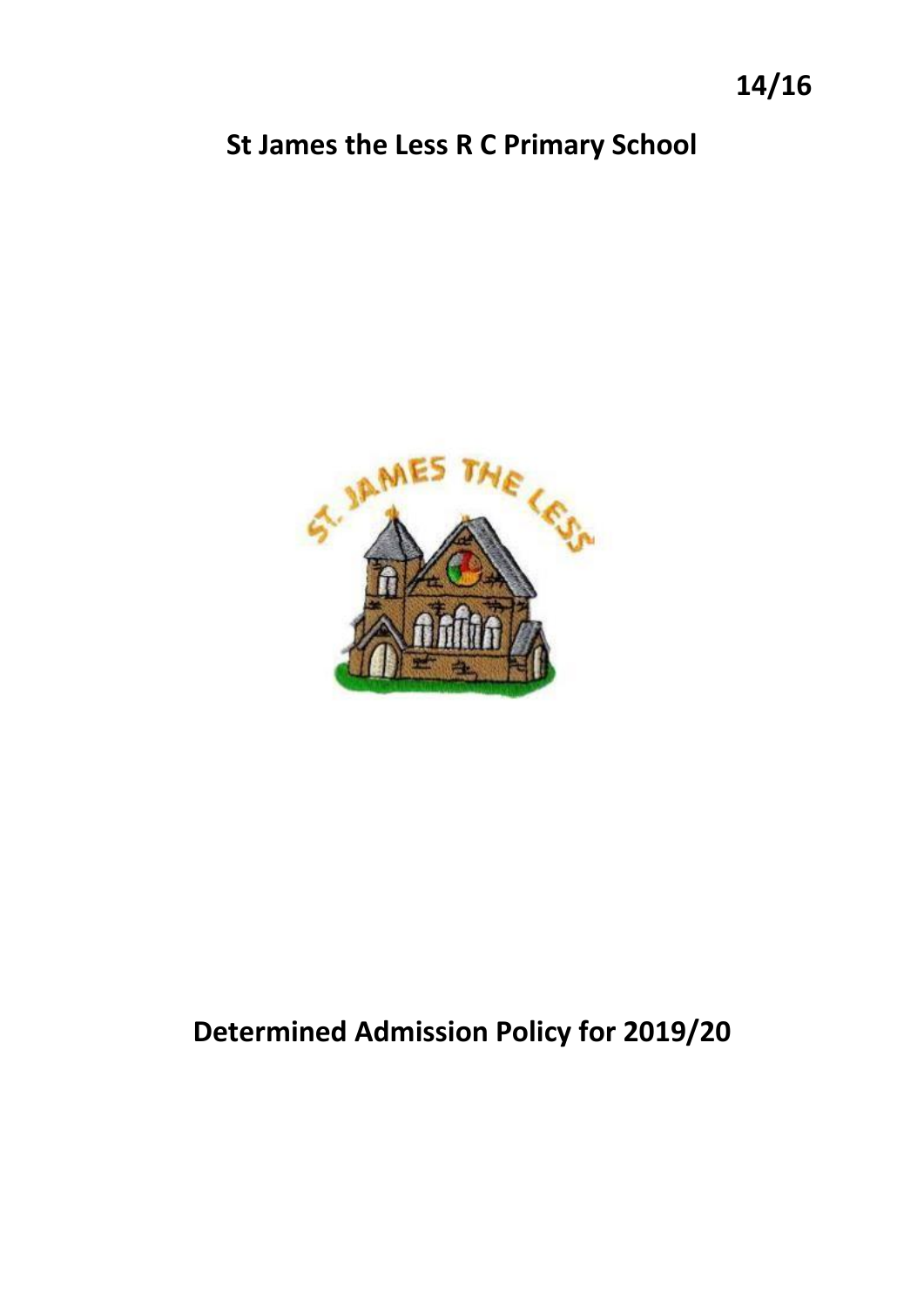## **St James the Less R C Primary School**



# **Determined Admission Policy for 2019/20**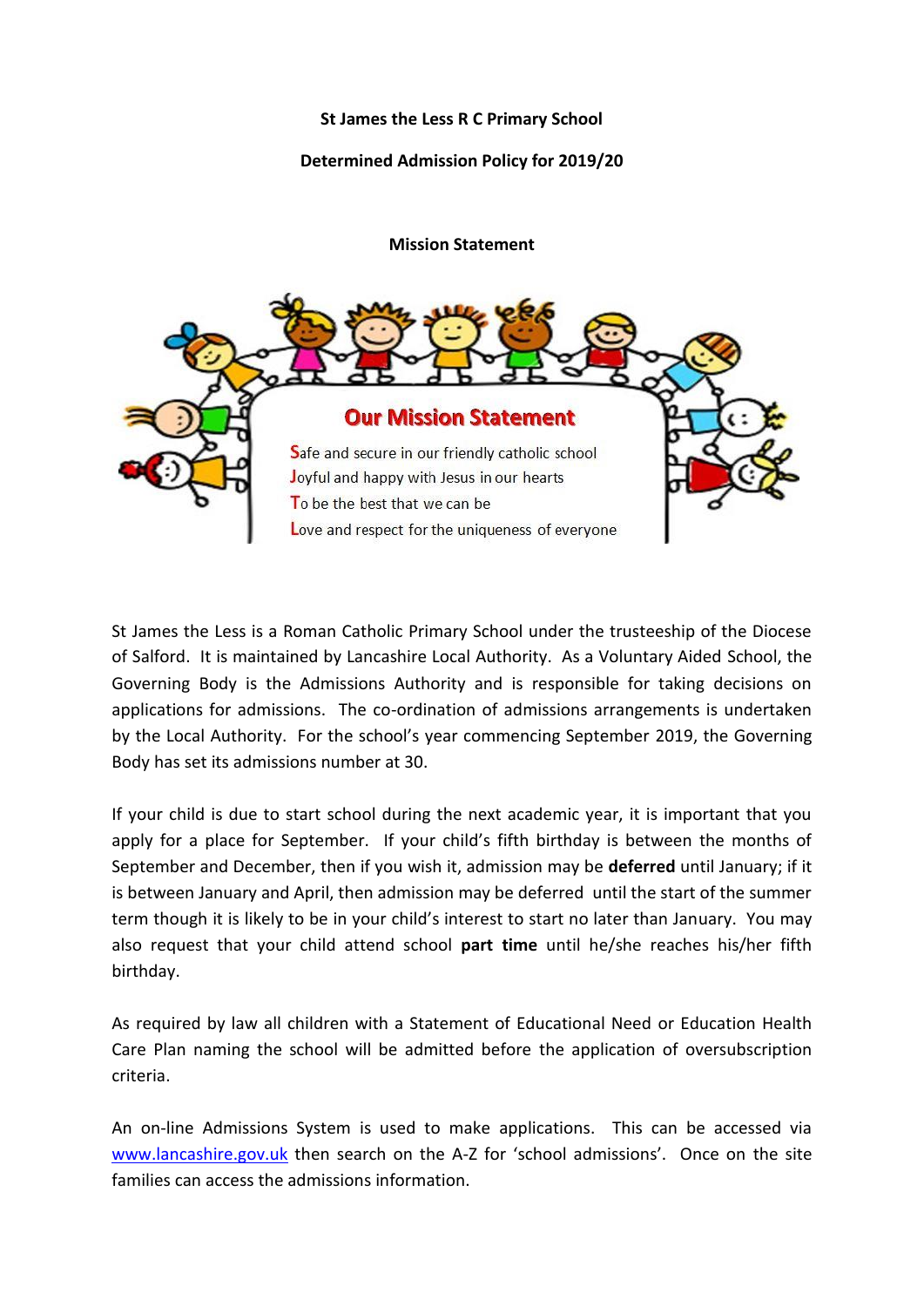#### **St James the Less R C Primary School**

#### **Determined Admission Policy for 2019/20**

**Mission Statement**



St James the Less is a Roman Catholic Primary School under the trusteeship of the Diocese of Salford. It is maintained by Lancashire Local Authority. As a Voluntary Aided School, the Governing Body is the Admissions Authority and is responsible for taking decisions on applications for admissions. The co-ordination of admissions arrangements is undertaken by the Local Authority. For the school's year commencing September 2019, the Governing Body has set its admissions number at 30.

If your child is due to start school during the next academic year, it is important that you apply for a place for September. If your child's fifth birthday is between the months of September and December, then if you wish it, admission may be **deferred** until January; if it is between January and April, then admission may be deferred until the start of the summer term though it is likely to be in your child's interest to start no later than January. You may also request that your child attend school **part time** until he/she reaches his/her fifth birthday.

As required by law all children with a Statement of Educational Need or Education Health Care Plan naming the school will be admitted before the application of oversubscription criteria.

An on-line Admissions System is used to make applications. This can be accessed via [www.lancashire.gov.uk](http://www.lancashire.gov.uk/) then search on the A-Z for 'school admissions'. Once on the site families can access the admissions information.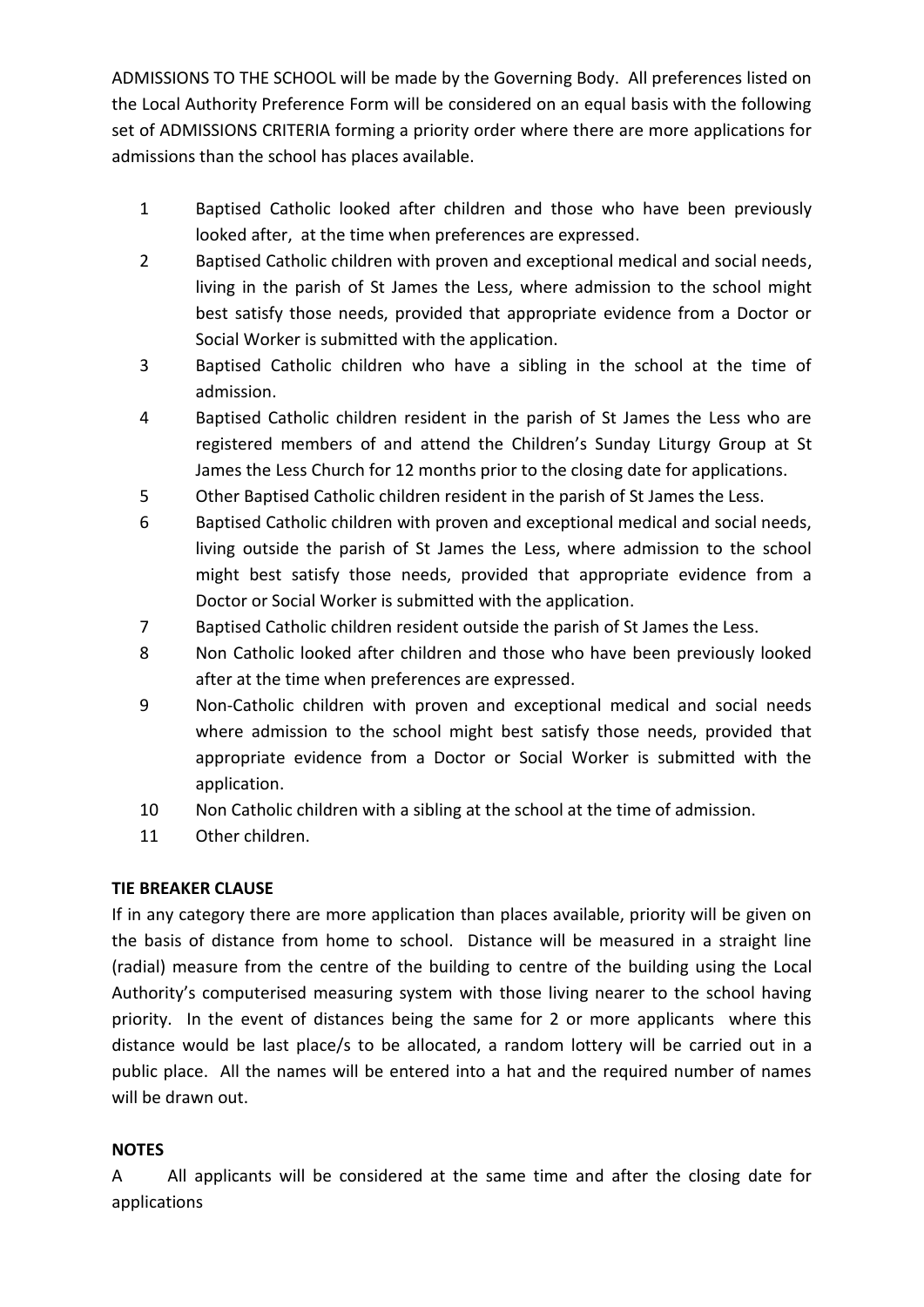ADMISSIONS TO THE SCHOOL will be made by the Governing Body. All preferences listed on the Local Authority Preference Form will be considered on an equal basis with the following set of ADMISSIONS CRITERIA forming a priority order where there are more applications for admissions than the school has places available.

- 1 Baptised Catholic looked after children and those who have been previously looked after, at the time when preferences are expressed.
- 2 Baptised Catholic children with proven and exceptional medical and social needs, living in the parish of St James the Less, where admission to the school might best satisfy those needs, provided that appropriate evidence from a Doctor or Social Worker is submitted with the application.
- 3 Baptised Catholic children who have a sibling in the school at the time of admission.
- 4 Baptised Catholic children resident in the parish of St James the Less who are registered members of and attend the Children's Sunday Liturgy Group at St James the Less Church for 12 months prior to the closing date for applications.
- 5 Other Baptised Catholic children resident in the parish of St James the Less.
- 6 Baptised Catholic children with proven and exceptional medical and social needs, living outside the parish of St James the Less, where admission to the school might best satisfy those needs, provided that appropriate evidence from a Doctor or Social Worker is submitted with the application.
- 7 Baptised Catholic children resident outside the parish of St James the Less.
- 8 Non Catholic looked after children and those who have been previously looked after at the time when preferences are expressed.
- 9 Non-Catholic children with proven and exceptional medical and social needs where admission to the school might best satisfy those needs, provided that appropriate evidence from a Doctor or Social Worker is submitted with the application.
- 10 Non Catholic children with a sibling at the school at the time of admission.
- 11 Other children.

## **TIE BREAKER CLAUSE**

If in any category there are more application than places available, priority will be given on the basis of distance from home to school. Distance will be measured in a straight line (radial) measure from the centre of the building to centre of the building using the Local Authority's computerised measuring system with those living nearer to the school having priority. In the event of distances being the same for 2 or more applicants where this distance would be last place/s to be allocated, a random lottery will be carried out in a public place. All the names will be entered into a hat and the required number of names will be drawn out.

## **NOTES**

A All applicants will be considered at the same time and after the closing date for applications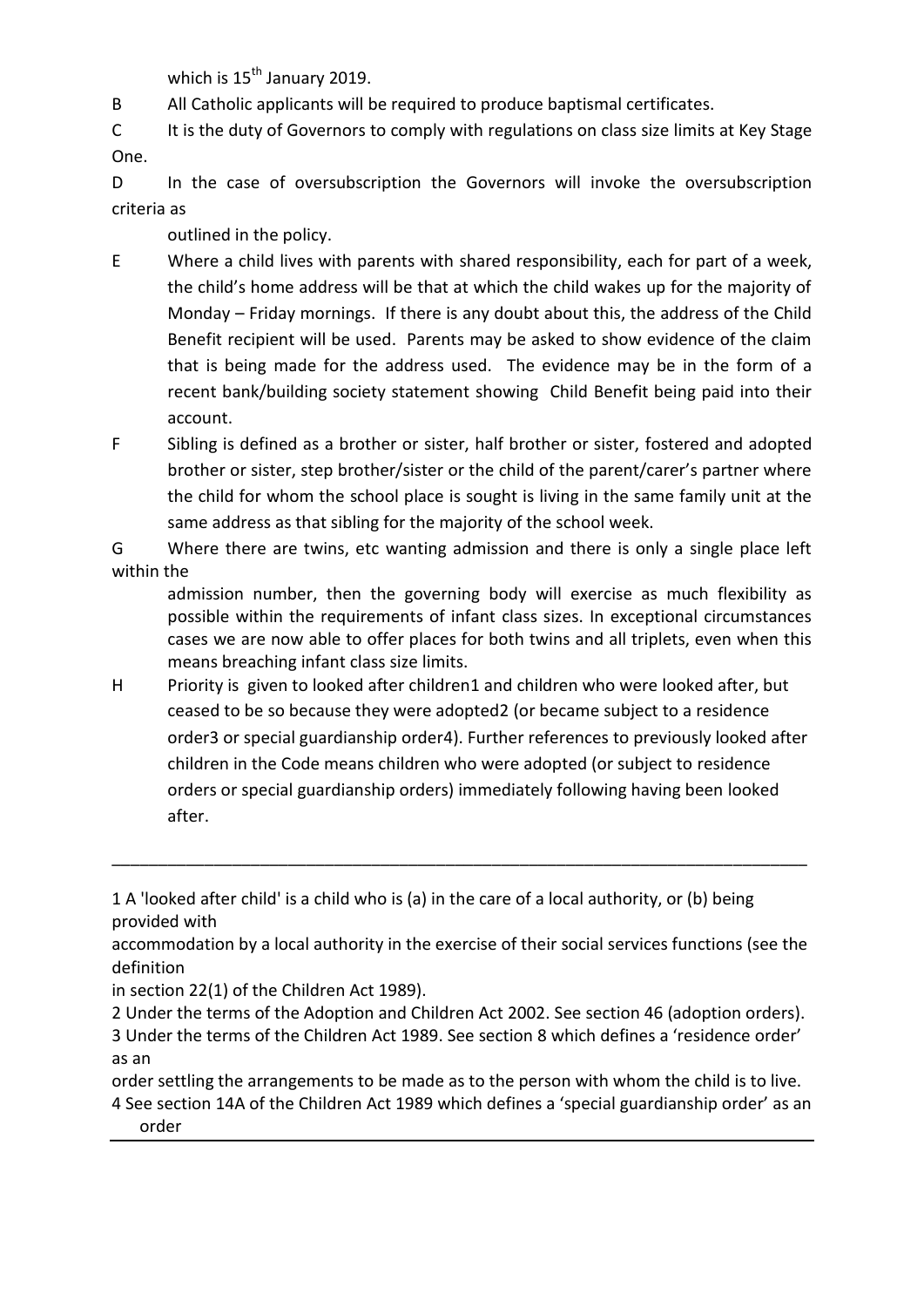which is  $15^{th}$  January 2019.

B All Catholic applicants will be required to produce baptismal certificates.

C It is the duty of Governors to comply with regulations on class size limits at Key Stage One.

D In the case of oversubscription the Governors will invoke the oversubscription criteria as

outlined in the policy.

- E Where a child lives with parents with shared responsibility, each for part of a week, the child's home address will be that at which the child wakes up for the majority of Monday – Friday mornings. If there is any doubt about this, the address of the Child Benefit recipient will be used. Parents may be asked to show evidence of the claim that is being made for the address used. The evidence may be in the form of a recent bank/building society statement showing Child Benefit being paid into their account.
- F Sibling is defined as a brother or sister, half brother or sister, fostered and adopted brother or sister, step brother/sister or the child of the parent/carer's partner where the child for whom the school place is sought is living in the same family unit at the same address as that sibling for the majority of the school week.

G Where there are twins, etc wanting admission and there is only a single place left within the

admission number, then the governing body will exercise as much flexibility as possible within the requirements of infant class sizes. In exceptional circumstances cases we are now able to offer places for both twins and all triplets, even when this means breaching infant class size limits.

H Priority is given to looked after children1 and children who were looked after, but ceased to be so because they were adopted2 (or became subject to a residence order3 or special guardianship order4). Further references to previously looked after children in the Code means children who were adopted (or subject to residence orders or special guardianship orders) immediately following having been looked after.

\_\_\_\_\_\_\_\_\_\_\_\_\_\_\_\_\_\_\_\_\_\_\_\_\_\_\_\_\_\_\_\_\_\_\_\_\_\_\_\_\_\_\_\_\_\_\_\_\_\_\_\_\_\_\_\_\_\_\_\_\_\_\_\_\_\_\_\_\_\_\_\_\_\_\_

in section 22(1) of the Children Act 1989).

2 Under the terms of the Adoption and Children Act 2002. See section 46 (adoption orders). 3 Under the terms of the Children Act 1989. See section 8 which defines a 'residence order' as an

order settling the arrangements to be made as to the person with whom the child is to live. 4 See section 14A of the Children Act 1989 which defines a 'special guardianship order' as an

order

<sup>1</sup> A 'looked after child' is a child who is (a) in the care of a local authority, or (b) being provided with

accommodation by a local authority in the exercise of their social services functions (see the definition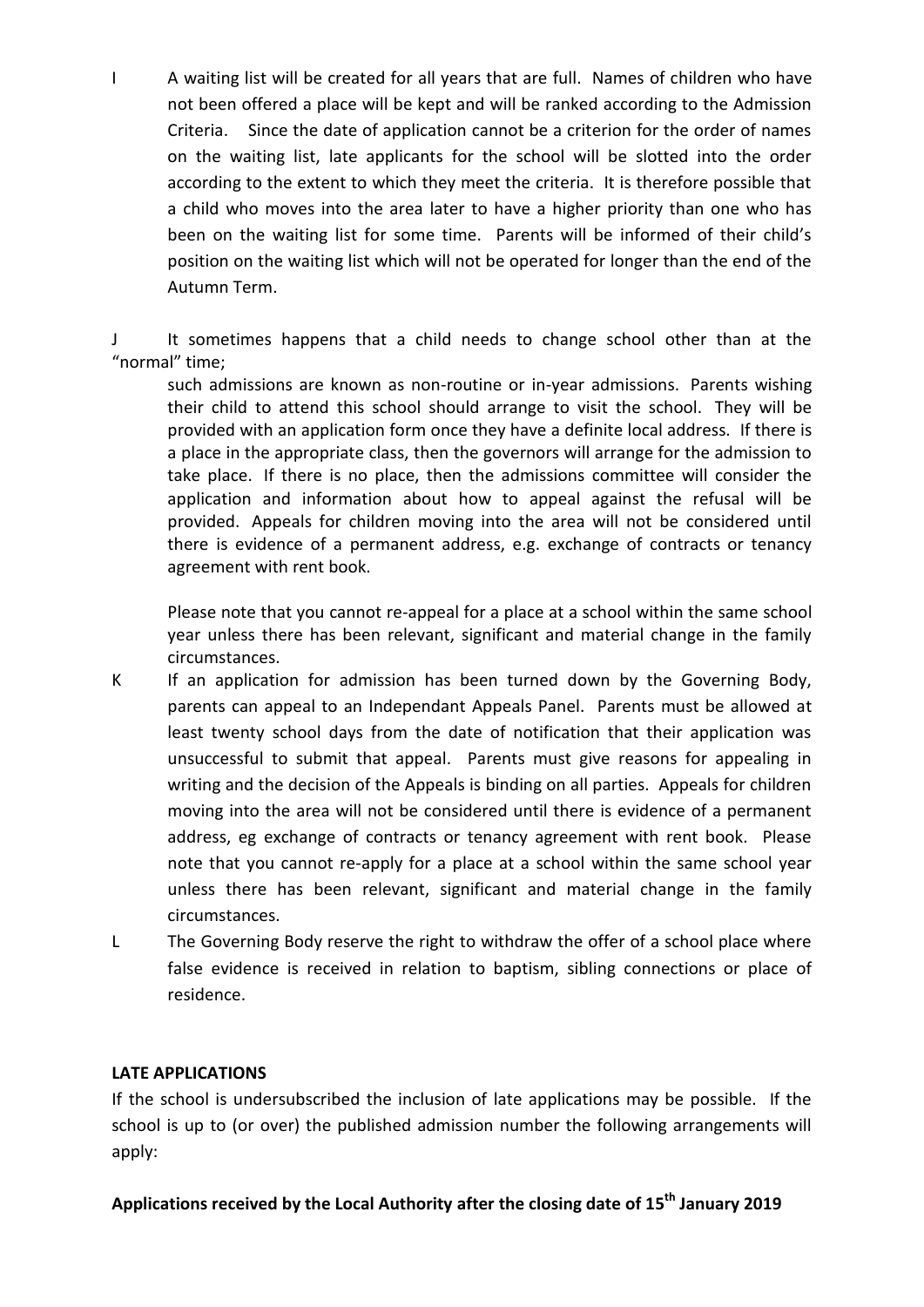I A waiting list will be created for all years that are full. Names of children who have not been offered a place will be kept and will be ranked according to the Admission Criteria. Since the date of application cannot be a criterion for the order of names on the waiting list, late applicants for the school will be slotted into the order according to the extent to which they meet the criteria. It is therefore possible that a child who moves into the area later to have a higher priority than one who has been on the waiting list for some time. Parents will be informed of their child's position on the waiting list which will not be operated for longer than the end of the Autumn Term.

It sometimes happens that a child needs to change school other than at the "normal" time;

such admissions are known as non-routine or in-year admissions. Parents wishing their child to attend this school should arrange to visit the school. They will be provided with an application form once they have a definite local address. If there is a place in the appropriate class, then the governors will arrange for the admission to take place. If there is no place, then the admissions committee will consider the application and information about how to appeal against the refusal will be provided. Appeals for children moving into the area will not be considered until there is evidence of a permanent address, e.g. exchange of contracts or tenancy agreement with rent book.

Please note that you cannot re-appeal for a place at a school within the same school year unless there has been relevant, significant and material change in the family circumstances.

- K If an application for admission has been turned down by the Governing Body, parents can appeal to an Independant Appeals Panel. Parents must be allowed at least twenty school days from the date of notification that their application was unsuccessful to submit that appeal. Parents must give reasons for appealing in writing and the decision of the Appeals is binding on all parties. Appeals for children moving into the area will not be considered until there is evidence of a permanent address, eg exchange of contracts or tenancy agreement with rent book. Please note that you cannot re-apply for a place at a school within the same school year unless there has been relevant, significant and material change in the family circumstances.
- L The Governing Body reserve the right to withdraw the offer of a school place where false evidence is received in relation to baptism, sibling connections or place of residence.

#### **LATE APPLICATIONS**

If the school is undersubscribed the inclusion of late applications may be possible. If the school is up to (or over) the published admission number the following arrangements will apply:

### **Applications received by the Local Authority after the closing date of 15 th January 2019**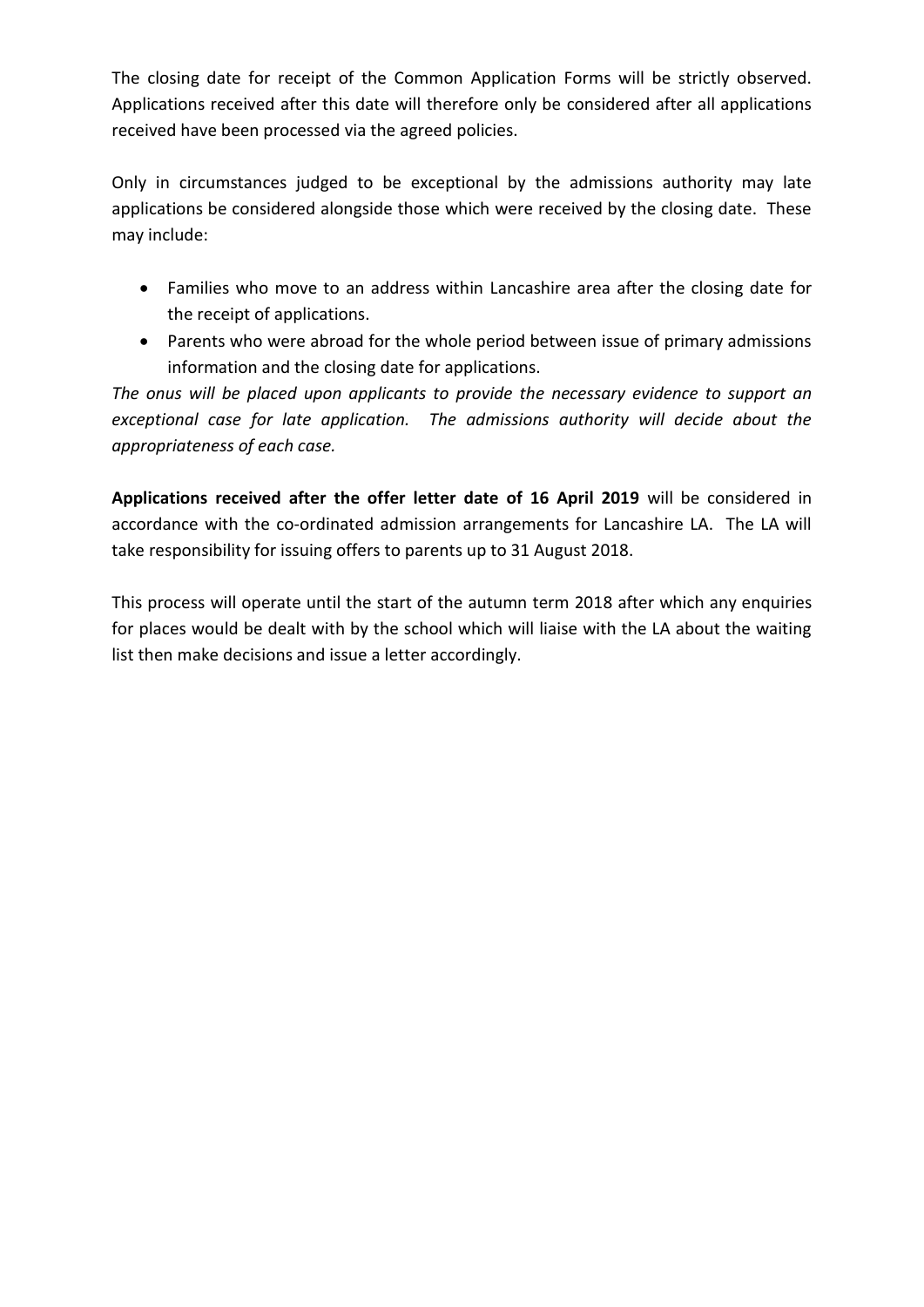The closing date for receipt of the Common Application Forms will be strictly observed. Applications received after this date will therefore only be considered after all applications received have been processed via the agreed policies.

Only in circumstances judged to be exceptional by the admissions authority may late applications be considered alongside those which were received by the closing date. These may include:

- Families who move to an address within Lancashire area after the closing date for the receipt of applications.
- Parents who were abroad for the whole period between issue of primary admissions information and the closing date for applications.

*The onus will be placed upon applicants to provide the necessary evidence to support an exceptional case for late application. The admissions authority will decide about the appropriateness of each case.*

**Applications received after the offer letter date of 16 April 2019** will be considered in accordance with the co-ordinated admission arrangements for Lancashire LA. The LA will take responsibility for issuing offers to parents up to 31 August 2018.

This process will operate until the start of the autumn term 2018 after which any enquiries for places would be dealt with by the school which will liaise with the LA about the waiting list then make decisions and issue a letter accordingly.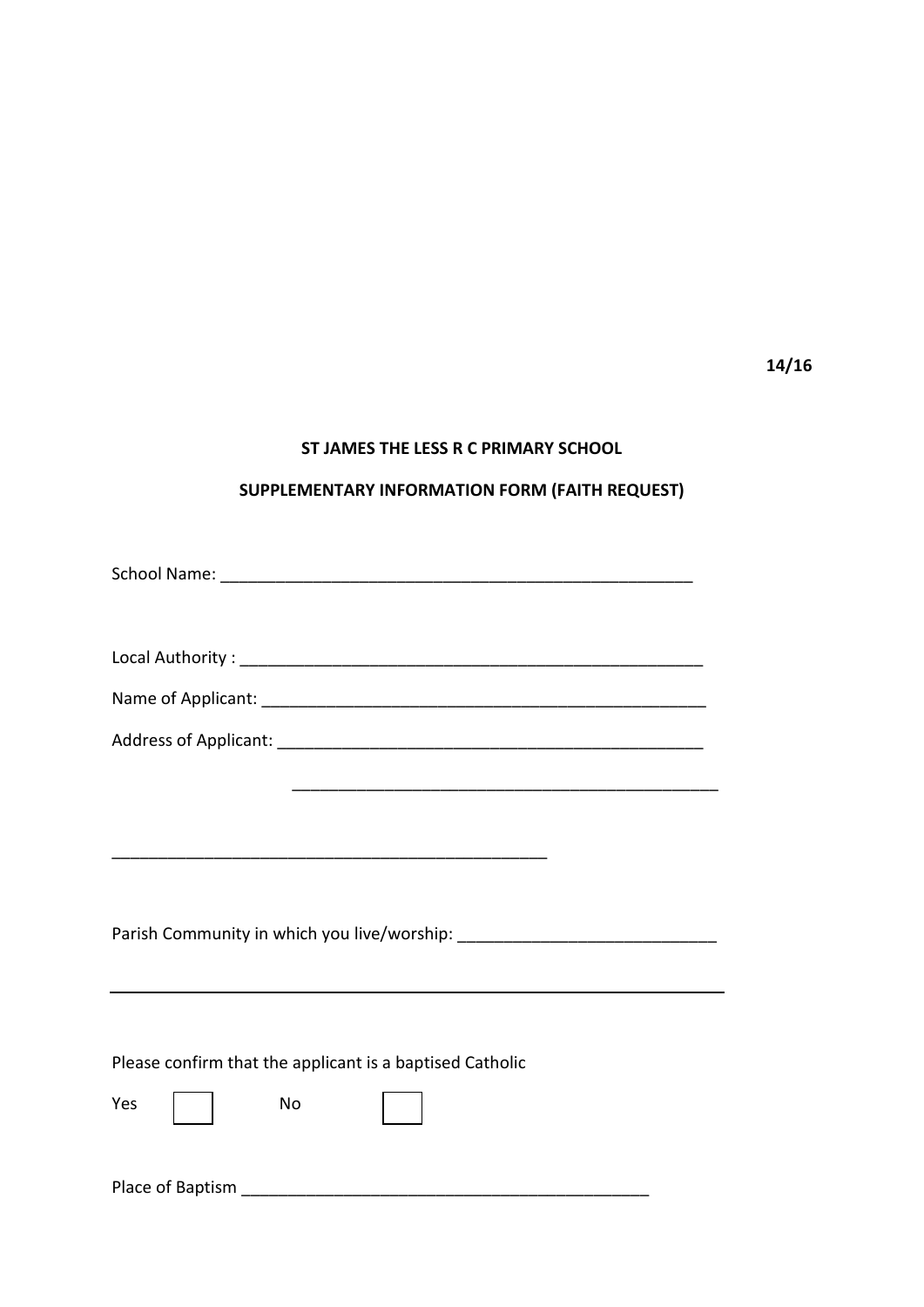**14/16**

#### **ST JAMES THE LESS R C PRIMARY SCHOOL**

## **SUPPLEMENTARY INFORMATION FORM (FAITH REQUEST)**

| Please confirm that the applicant is a baptised Catholic |
|----------------------------------------------------------|
| Yes<br><b>No</b>                                         |
|                                                          |